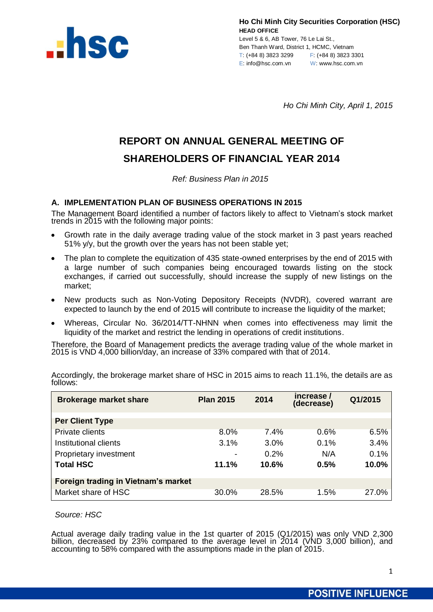

Level 5 & 6, AB Tower, 76 Le Lai St., Ben Thanh Ward, District 1, HCMC, Vietnam T: (+84 8) 3823 3299 F: (+84 8) 3823 3301 E: info@hsc.com.vn W: www.hsc.com.vn

*Ho Chi Minh City, April 1, 2015*

# **REPORT ON ANNUAL GENERAL MEETING OF SHAREHOLDERS OF FINANCIAL YEAR 2014**

*Ref: Business Plan in 2015*

# **A. IMPLEMENTATION PLAN OF BUSINESS OPERATIONS IN 2015**

The Management Board identified a number of factors likely to affect to Vietnam's stock market trends in 2015 with the following major points:

- Growth rate in the daily average trading value of the stock market in 3 past years reached 51% y/y, but the growth over the years has not been stable yet;
- The plan to complete the equitization of 435 state-owned enterprises by the end of 2015 with a large number of such companies being encouraged towards listing on the stock exchanges, if carried out successfully, should increase the supply of new listings on the market;
- New products such as Non-Voting Depository Receipts (NVDR), covered warrant are expected to launch by the end of 2015 will contribute to increase the liquidity of the market;
- Whereas, Circular No. 36/2014/TT-NHNN when comes into effectiveness may limit the liquidity of the market and restrict the lending in operations of credit institutions.

Therefore, the Board of Management predicts the average trading value of the whole market in 2015 is VND 4,000 billion/day, an increase of 33% compared with that of 2014.

| <b>Brokerage market share</b>       | <b>Plan 2015</b>         | 2014  | increase /<br>(decrease) | Q1/2015 |
|-------------------------------------|--------------------------|-------|--------------------------|---------|
| <b>Per Client Type</b>              |                          |       |                          |         |
| <b>Private clients</b>              | 8.0%                     | 7.4%  | 0.6%                     | 6.5%    |
| Institutional clients               | 3.1%                     | 3.0%  | 0.1%                     | 3.4%    |
| Proprietary investment              | $\overline{\phantom{a}}$ | 0.2%  | N/A                      | 0.1%    |
| <b>Total HSC</b>                    | 11.1%                    | 10.6% | 0.5%                     | 10.0%   |
| Foreign trading in Vietnam's market |                          |       |                          |         |
| Market share of HSC                 | 30.0%                    | 28.5% | 1.5%                     | 27.0%   |

Accordingly, the brokerage market share of HSC in 2015 aims to reach 11.1%, the details are as follows:

*Source: HSC*

Actual average daily trading value in the 1st quarter of 2015 (Q1/2015) was only VND 2,300 billion, decreased by 23% compared to the average level in 2014 (VND 3,000 billion), and accounting to 58% compared with the assumptions made in the plan of 2015.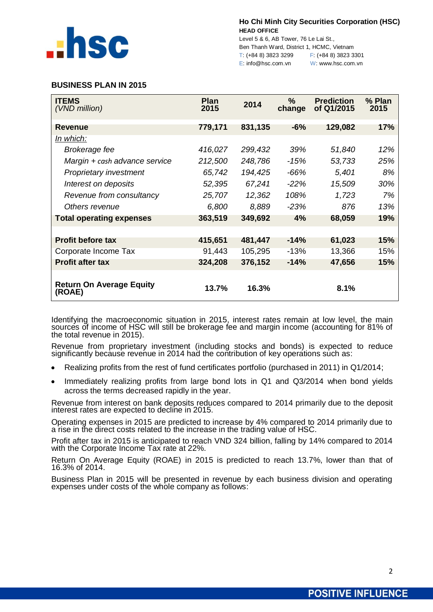

Level 5 & 6, AB Tower, 76 Le Lai St., Ben Thanh Ward, District 1, HCMC, Vietnam T: (+84 8) 3823 3299 F: (+84 8) 3823 3301 E: info@hsc.com.vn W: www.hsc.com.vn

# **BUSINESS PLAN IN 2015**

| <b>ITEMS</b><br>(VND million)             | <b>Plan</b><br>2015 | 2014    | $\%$<br>change | <b>Prediction</b><br>of Q1/2015 | % Plan<br>2015 |
|-------------------------------------------|---------------------|---------|----------------|---------------------------------|----------------|
| <b>Revenue</b>                            | 779,171             | 831,135 | $-6%$          | 129,082                         | 17%            |
| In which:                                 |                     |         |                |                                 |                |
| Brokerage fee                             | 416,027             | 299,432 | 39%            | 51,840                          | 12%            |
| Margin + cash advance service             | 212,500             | 248,786 | $-15%$         | 53,733                          | 25%            |
| Proprietary investment                    | 65,742              | 194,425 | -66%           | 5,401                           | 8%             |
| Interest on deposits                      | 52,395              | 67,241  | $-22\%$        | 15,509                          | 30%            |
| Revenue from consultancy                  | 25,707              | 12,362  | 108%           | 1,723                           | 7%             |
| Others revenue                            | 6,800               | 8,889   | $-23%$         | 876                             | 13%            |
| <b>Total operating expenses</b>           | 363,519             | 349,692 | 4%             | 68,059                          | 19%            |
|                                           |                     |         |                |                                 |                |
| <b>Profit before tax</b>                  | 415,651             | 481,447 | $-14%$         | 61,023                          | <b>15%</b>     |
| Corporate Income Tax                      | 91,443              | 105,295 | $-13%$         | 13,366                          | 15%            |
| <b>Profit after tax</b>                   | 324,208             | 376,152 | $-14%$         | 47,656                          | 15%            |
| <b>Return On Average Equity</b><br>(ROAE) | 13.7%               | 16.3%   |                | 8.1%                            |                |

Identifying the macroeconomic situation in 2015, interest rates remain at low level, the main sources of income of HSC will still be brokerage fee and margin income (accounting for 81% of the total revenue in 2015).

Revenue from proprietary investment (including stocks and bonds) is expected to reduce significantly because revenue in 2014 had the contribution of key operations such as:

- Realizing profits from the rest of fund certificates portfolio (purchased in 2011) in Q1/2014;
- Immediately realizing profits from large bond lots in Q1 and Q3/2014 when bond yields across the terms decreased rapidly in the year.

Revenue from interest on bank deposits reduces compared to 2014 primarily due to the deposit interest rates are expected to decline in 2015.

Operating expenses in 2015 are predicted to increase by 4% compared to 2014 primarily due to a rise in the direct costs related to the increase in the trading value of HSC.

Profit after tax in 2015 is anticipated to reach VND 324 billion, falling by 14% compared to 2014 with the Corporate Income Tax rate at 22%.

Return On Average Equity (ROAE) in 2015 is predicted to reach 13.7%, lower than that of 16.3% of 2014.

Business Plan in 2015 will be presented in revenue by each business division and operating expenses under costs of the whole company as follows: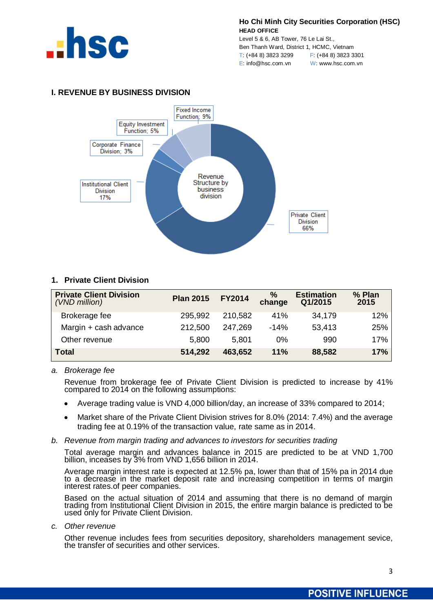

Level 5 & 6, AB Tower, 76 Le Lai St., Ben Thanh Ward, District 1, HCMC, Vietnam T: (+84 8) 3823 3299 F: (+84 8) 3823 3301 E: info@hsc.com.vn W: www.hsc.com.vn





# **1. Private Client Division**

| <b>Private Client Division</b><br>(VND million) | <b>Plan 2015</b> | <b>FY2014</b> | $\%$<br>change | <b>Estimation</b><br>Q1/2015 | % Plan<br>2015 |
|-------------------------------------------------|------------------|---------------|----------------|------------------------------|----------------|
| Brokerage fee                                   | 295,992          | 210,582       | 41%            | 34,179                       | 12%            |
| Margin + cash advance                           | 212,500          | 247.269       | $-14%$         | 53,413                       | 25%            |
| Other revenue                                   | 5,800            | 5.801         | 0%             | 990                          | 17%            |
| <b>Total</b>                                    | 514,292          | 463,652       | 11%            | 88,582                       | 17%            |

## *a. Brokerage fee*

Revenue from brokerage fee of Private Client Division is predicted to increase by 41% compared to 2014 on the following assumptions:

- Average trading value is VND 4,000 billion/day, an increase of 33% compared to 2014;  $\bullet$
- Market share of the Private Client Division strives for 8.0% (2014: 7.4%) and the average  $\bullet$ trading fee at 0.19% of the transaction value, rate same as in 2014.

## *b. Revenue from margin trading and advances to investors for securities trading*

Total average margin and advances balance in 2015 are predicted to be at VND 1,700 billion, inceases by 3% from VND 1,656 billion in 2014.

Average margin interest rate is expected at 12.5% pa, lower than that of 15% pa in 2014 due to a decrease in the market deposit rate and increasing competition in terms of margin interest rates.of peer companies.

Based on the actual situation of 2014 and assuming that there is no demand of margin trading from Institutional Client Division in 2015, the entire margin balance is predicted to be used only for Private Client Division.

*c. Other revenue*

Other revenue includes fees from securities depository, shareholders management sevice, the transfer of securities and other services.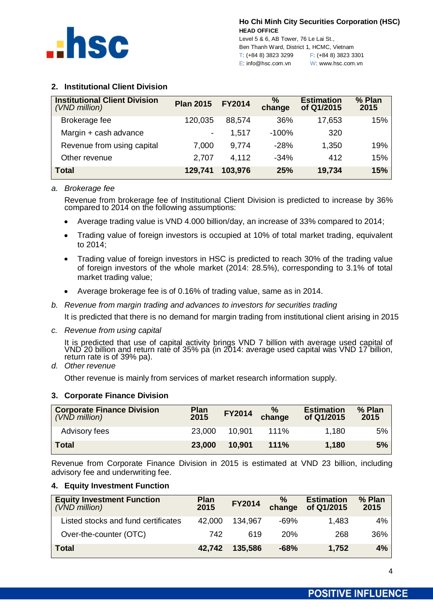

Level 5 & 6, AB Tower, 76 Le Lai St., Ben Thanh Ward, District 1, HCMC, Vietnam T: (+84 8) 3823 3299 F: (+84 8) 3823 3301 E: info@hsc.com.vn W: www.hsc.com.vn

# **2. Institutional Client Division**

| <b>Institutional Client Division</b><br>(VND million) | <b>Plan 2015</b>         | <b>FY2014</b> | $\frac{9}{6}$<br>change | <b>Estimation</b><br>of Q1/2015 | % Plan<br>2015 |
|-------------------------------------------------------|--------------------------|---------------|-------------------------|---------------------------------|----------------|
| Brokerage fee                                         | 120,035                  | 88,574        | 36%                     | 17,653                          | 15%            |
| Margin + cash advance                                 | $\overline{\phantom{a}}$ | 1,517         | $-100%$                 | 320                             |                |
| Revenue from using capital                            | 7,000                    | 9,774         | $-28%$                  | 1,350                           | 19%            |
| Other revenue                                         | 2,707                    | 4,112         | $-34%$                  | 412                             | 15%            |
| Total                                                 | 129,741                  | 103,976       | <b>25%</b>              | 19,734                          | 15%            |

*a. Brokerage fee*

Revenue from brokerage fee of Institutional Client Division is predicted to increase by 36% compared to 2014 on the following assumptions:

- Average trading value is VND 4.000 billion/day, an increase of 33% compared to 2014;
- Trading value of foreign investors is occupied at 10% of total market trading, equivalent  $\bullet$ to 2014;
- Trading value of foreign investors in HSC is predicted to reach 30% of the trading value of foreign investors of the whole market (2014: 28.5%), corresponding to 3.1% of total market trading value;
- Average brokerage fee is of 0.16% of trading value, same as in 2014.
- *b. Revenue from margin trading and advances to investors for securities trading*

It is predicted that there is no demand for margin trading from institutional client arising in 2015

*c. Revenue from using capital*

It is predicted that use of capital activity brings VND 7 billion with average used capital of VND 20 billion and return rate of 35% pa (in 2014: average used capital was VND 17 billion, return rate is of 39% pa).

*d. Other revenue*

Other revenue is mainly from services of market research information supply.

## **3. Corporate Finance Division**

| <b>Corporate Finance Division</b><br>(VND million) | <b>Plan</b><br>2015 | <b>FY2014</b> | $\frac{9}{6}$<br>change | <b>Estimation</b><br>of Q1/2015 | % Plan<br>2015 |
|----------------------------------------------------|---------------------|---------------|-------------------------|---------------------------------|----------------|
| Advisory fees                                      | 23,000              | 10.901        | 111%                    | 1,180                           | 5%             |
| <b>Total</b>                                       | 23,000              | 10.901        | 111%                    | 1,180                           | 5%             |

Revenue from Corporate Finance Division in 2015 is estimated at VND 23 billion, including advisory fee and underwriting fee.

# **4. Equity Investment Function**

| <b>Equity Investment Function</b><br>(VND million) | <b>Plan</b><br>2015 | FY2014  | %<br>change | <b>Estimation</b><br>of Q1/2015 | % Plan<br>2015 |
|----------------------------------------------------|---------------------|---------|-------------|---------------------------------|----------------|
| Listed stocks and fund certificates                | 42.000              | 134.967 | -69%        | 1.483                           | $4\%$          |
| Over-the-counter (OTC)                             | 742                 | 619     | 20%         | 268                             | 36%            |
| <b>Total</b>                                       | 42,742              | 135,586 | $-68%$      | 1,752                           | 4%             |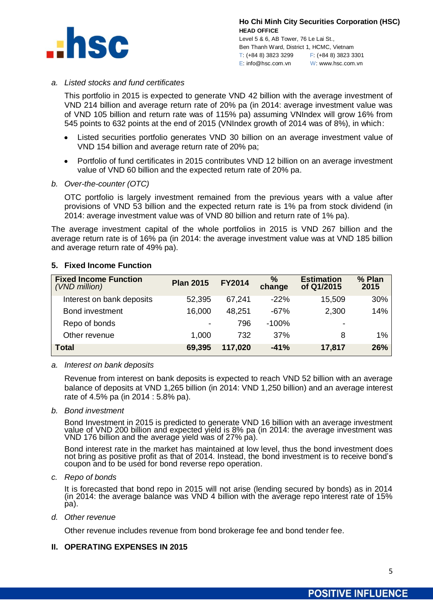

Level 5 & 6, AB Tower, 76 Le Lai St., Ben Thanh Ward, District 1, HCMC, Vietnam T: (+84 8) 3823 3299 F: (+84 8) 3823 3301 E: info@hsc.com.vn W: www.hsc.com.vn

# *a. Listed stocks and fund certificates*

This portfolio in 2015 is expected to generate VND 42 billion with the average investment of VND 214 billion and average return rate of 20% pa (in 2014: average investment value was of VND 105 billion and return rate was of 115% pa) assuming VNIndex will grow 16% from 545 points to 632 points at the end of 2015 (VNIndex growth of 2014 was of 8%), in which:

- Listed securities portfolio generates VND 30 billion on an average investment value of VND 154 billion and average return rate of 20% pa;
- Portfolio of fund certificates in 2015 contributes VND 12 billion on an average investment value of VND 60 billion and the expected return rate of 20% pa.
- *b. Over-the-counter (OTC)*

OTC portfolio is largely investment remained from the previous years with a value after provisions of VND 53 billion and the expected return rate is 1% pa from stock dividend (in 2014: average investment value was of VND 80 billion and return rate of 1% pa).

The average investment capital of the whole portfolios in 2015 is VND 267 billion and the average return rate is of 16% pa (in 2014: the average investment value was at VND 185 billion and average return rate of 49% pa).

# **5. Fixed Income Function**

| <b>Fixed Income Function</b><br>(VND million) | <b>Plan 2015</b>         | <b>FY2014</b> | $\%$<br>change | <b>Estimation</b><br>of Q1/2015 | % Plan<br>2015 |
|-----------------------------------------------|--------------------------|---------------|----------------|---------------------------------|----------------|
| Interest on bank deposits                     | 52,395                   | 67,241        | $-22%$         | 15,509                          | 30%            |
| Bond investment                               | 16,000                   | 48,251        | $-67%$         | 2,300                           | 14%            |
| Repo of bonds                                 | $\overline{\phantom{a}}$ | 796           | $-100%$        |                                 |                |
| Other revenue                                 | 1,000                    | 732           | 37%            | 8                               | 1%             |
| <b>Total</b>                                  | 69,395                   | 117,020       | $-41%$         | 17,817                          | 26%            |

*a. Interest on bank deposits*

Revenue from interest on bank deposits is expected to reach VND 52 billion with an average balance of deposits at VND 1,265 billion (in 2014: VND 1,250 billion) and an average interest rate of 4.5% pa (in 2014 : 5.8% pa).

*b. Bond investment*

Bond Investment in 2015 is predicted to generate VND 16 billion with an average investment value of VND 200 billion and expected yield is 8% pa (in 2014: the average investment was VND 176 billion and the average yield was of 27% pa).

Bond interest rate in the market has maintained at low level, thus the bond investment does not bring as positive profit as that of 2014. Instead, the bond investment is to receive bond's coupon and to be used for bond reverse repo operation.

*c. Repo of bonds*

It is forecasted that bond repo in 2015 will not arise (lending secured by bonds) as in 2014 (in 2014: the average balance was VND 4 billion with the average repo interest rate of 15% pa).

*d. Other revenue*

Other revenue includes revenue from bond brokerage fee and bond tender fee.

## **II. OPERATING EXPENSES IN 2015**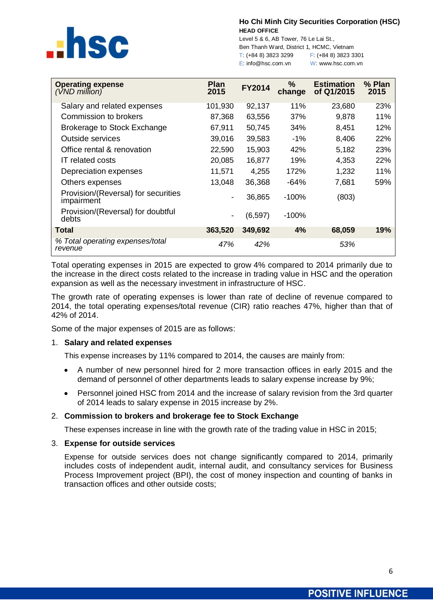

Level 5 & 6, AB Tower, 76 Le Lai St., Ben Thanh Ward, District 1, HCMC, Vietnam T: (+84 8) 3823 3299 F: (+84 8) 3823 3301 E: info@hsc.com.vn W: www.hsc.com.vn

| <b>Operating expense</b><br>$(VND$ million)       | <b>Plan</b><br>2015 | <b>FY2014</b> | $\frac{9}{6}$<br>change | <b>Estimation</b><br>of Q1/2015 | % Plan<br>2015 |
|---------------------------------------------------|---------------------|---------------|-------------------------|---------------------------------|----------------|
| Salary and related expenses                       | 101,930             | 92,137        | 11%                     | 23,680                          | 23%            |
| Commission to brokers                             | 87,368              | 63,556        | 37%                     | 9,878                           | 11%            |
| Brokerage to Stock Exchange                       | 67,911              | 50,745        | 34%                     | 8,451                           | 12%            |
| Outside services                                  | 39,016              | 39,583        | -1%                     | 8,406                           | 22%            |
| Office rental & renovation                        | 22,590              | 15,903        | 42%                     | 5,182                           | 23%            |
| <b>IT</b> related costs                           | 20,085              | 16,877        | 19%                     | 4,353                           | 22%            |
| Depreciation expenses                             | 11,571              | 4,255         | 172%                    | 1,232                           | 11%            |
| Others expenses                                   | 13,048              | 36,368        | -64%                    | 7,681                           | 59%            |
| Provision/(Reversal) for securities<br>impairment |                     | 36,865        | $-100%$                 | (803)                           |                |
| Provision/(Reversal) for doubtful<br>debts        |                     | (6, 597)      | $-100%$                 |                                 |                |
| <b>Total</b>                                      | 363,520             | 349,692       | 4%                      | 68,059                          | 19%            |
| % Total operating expenses/total<br>revenue       | 47%                 | 42%           |                         | 53%                             |                |

Total operating expenses in 2015 are expected to grow 4% compared to 2014 primarily due to the increase in the direct costs related to the increase in trading value in HSC and the operation expansion as well as the necessary investment in infrastructure of HSC.

The growth rate of operating expenses is lower than rate of decline of revenue compared to 2014, the total operating expenses/total revenue (CIR) ratio reaches 47%, higher than that of 42% of 2014.

Some of the major expenses of 2015 are as follows:

# 1. **Salary and related expenses**

This expense increases by 11% compared to 2014, the causes are mainly from:

- A number of new personnel hired for 2 more transaction offices in early 2015 and the demand of personnel of other departments leads to salary expense increase by 9%;
- Personnel joined HSC from 2014 and the increase of salary revision from the 3rd quarter of 2014 leads to salary expense in 2015 increase by 2%.

# 2. **Commission to brokers and brokerage fee to Stock Exchange**

These expenses increase in line with the growth rate of the trading value in HSC in 2015;

## 3. **Expense for outside services**

Expense for outside services does not change significantly compared to 2014, primarily includes costs of independent audit, internal audit, and consultancy services for Business Process Improvement project (BPI), the cost of money inspection and counting of banks in transaction offices and other outside costs;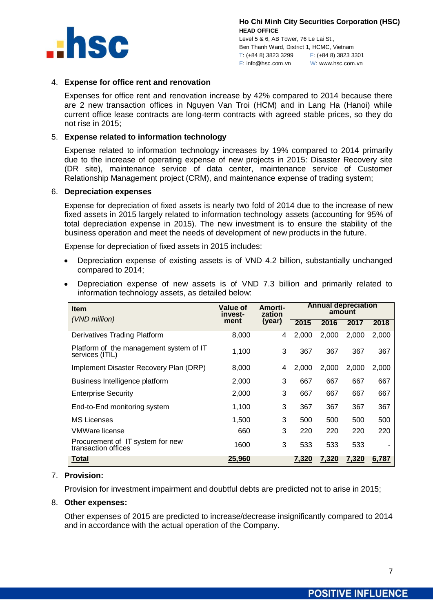

Level 5 & 6, AB Tower, 76 Le Lai St., Ben Thanh Ward, District 1, HCMC, Vietnam T: (+84 8) 3823 3299 F: (+84 8) 3823 3301 E: info@hsc.com.vn W: www.hsc.com.vn

# 4. **Expense for office rent and renovation**

Expenses for office rent and renovation increase by 42% compared to 2014 because there are 2 new transaction offices in Nguyen Van Troi (HCM) and in Lang Ha (Hanoi) while current office lease contracts are long-term contracts with agreed stable prices, so they do not rise in 2015;

# 5. **Expense related to information technology**

Expense related to information technology increases by 19% compared to 2014 primarily due to the increase of operating expense of new projects in 2015: Disaster Recovery site (DR site), maintenance service of data center, maintenance service of Customer Relationship Management project (CRM), and maintenance expense of trading system;

#### 6. **Depreciation expenses**

Expense for depreciation of fixed assets is nearly two fold of 2014 due to the increase of new fixed assets in 2015 largely related to information technology assets (accounting for 95% of total depreciation expense in 2015). The new investment is to ensure the stability of the business operation and meet the needs of development of new products in the future.

Expense for depreciation of fixed assets in 2015 includes:

- Depreciation expense of existing assets is of VND 4.2 billion, substantially unchanged  $\bullet$ compared to 2014;
- Depreciation expense of new assets is of VND 7.3 billion and primarily related to information technology assets, as detailed below:

| <b>Item</b>                                                | <b>Value of</b><br>invest- | Amorti-<br>zation |       | <b>Annual depreciation</b><br>amount |       |       |  |
|------------------------------------------------------------|----------------------------|-------------------|-------|--------------------------------------|-------|-------|--|
| (VND million)                                              | ment                       | (year)            | 2015  | 2016                                 | 2017  | 2018  |  |
| Derivatives Trading Platform                               | 8,000                      | 4                 | 2.000 | 2,000                                | 2,000 | 2,000 |  |
| Platform of the management system of IT<br>services (ITIL) | 1,100                      | 3                 | 367   | 367                                  | 367   | 367   |  |
| Implement Disaster Recovery Plan (DRP)                     | 8,000                      | 4                 | 2,000 | 2,000                                | 2,000 | 2,000 |  |
| Business Intelligence platform                             | 2,000                      | 3                 | 667   | 667                                  | 667   | 667   |  |
| <b>Enterprise Security</b>                                 | 2,000                      | 3                 | 667   | 667                                  | 667   | 667   |  |
| End-to-End monitoring system                               | 1,100                      | 3                 | 367   | 367                                  | 367   | 367   |  |
| <b>MS Licenses</b>                                         | 1,500                      | 3                 | 500   | 500                                  | 500   | 500   |  |
| VMWare license                                             | 660                        | 3                 | 220   | 220                                  | 220   | 220   |  |
| Procurement of IT system for new<br>transaction offices    | 1600                       | 3                 | 533   | 533                                  | 533   |       |  |
| Total                                                      | 25,960                     |                   | 7,320 | 7,320                                | 7,320 | 6,787 |  |

# 7. **Provision:**

Provision for investment impairment and doubtful debts are predicted not to arise in 2015;

# 8. **Other expenses:**

Other expenses of 2015 are predicted to increase/decrease insignificantly compared to 2014 and in accordance with the actual operation of the Company.